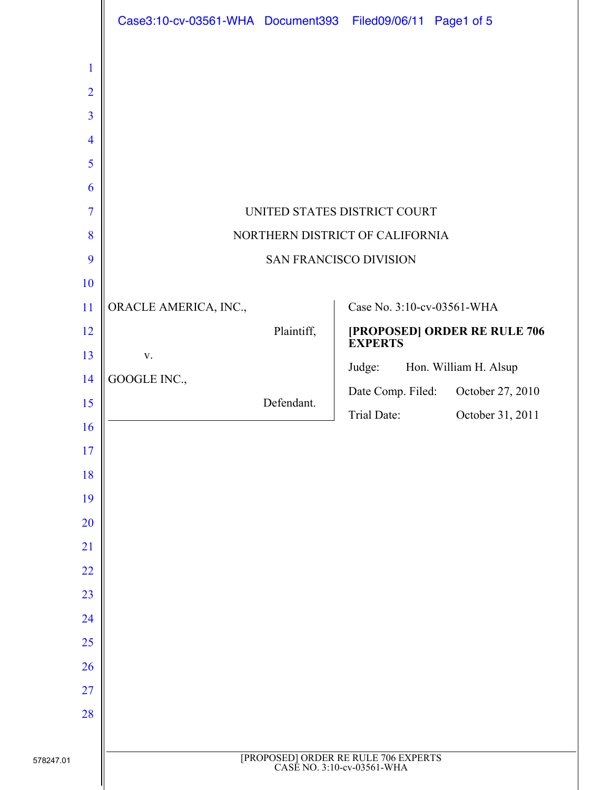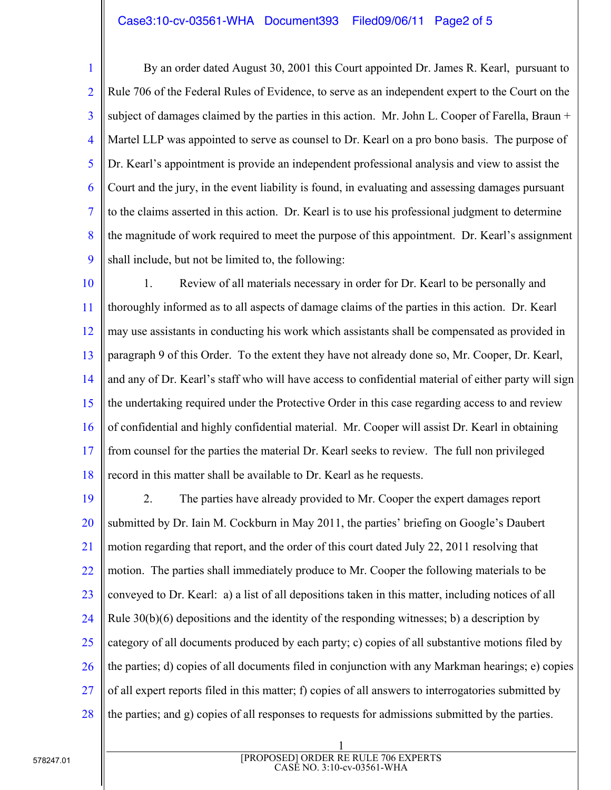## Case3:10-cv-03561-WHA Document393 Filed09/06/11 Page2 of 5

1 2 3 4 5 6 7 8 9 By an order dated August 30, 2001 this Court appointed Dr. James R. Kearl, pursuant to Rule 706 of the Federal Rules of Evidence, to serve as an independent expert to the Court on the subject of damages claimed by the parties in this action. Mr. John L. Cooper of Farella, Braun + Martel LLP was appointed to serve as counsel to Dr. Kearl on a pro bono basis. The purpose of Dr. Kearl's appointment is provide an independent professional analysis and view to assist the Court and the jury, in the event liability is found, in evaluating and assessing damages pursuant to the claims asserted in this action. Dr. Kearl is to use his professional judgment to determine the magnitude of work required to meet the purpose of this appointment. Dr. Kearl's assignment shall include, but not be limited to, the following:

10 11 12 13 14 15 16 17 18 1. Review of all materials necessary in order for Dr. Kearl to be personally and thoroughly informed as to all aspects of damage claims of the parties in this action. Dr. Kearl may use assistants in conducting his work which assistants shall be compensated as provided in paragraph 9 of this Order. To the extent they have not already done so, Mr. Cooper, Dr. Kearl, and any of Dr. Kearl's staff who will have access to confidential material of either party will sign the undertaking required under the Protective Order in this case regarding access to and review of confidential and highly confidential material. Mr. Cooper will assist Dr. Kearl in obtaining from counsel for the parties the material Dr. Kearl seeks to review. The full non privileged record in this matter shall be available to Dr. Kearl as he requests.

19 20 21 22 23 24 25 26 27 28 2. The parties have already provided to Mr. Cooper the expert damages report submitted by Dr. Iain M. Cockburn in May 2011, the parties' briefing on Google's Daubert motion regarding that report, and the order of this court dated July 22, 2011 resolving that motion. The parties shall immediately produce to Mr. Cooper the following materials to be conveyed to Dr. Kearl: a) a list of all depositions taken in this matter, including notices of all Rule  $30(b)(6)$  depositions and the identity of the responding witnesses; b) a description by category of all documents produced by each party; c) copies of all substantive motions filed by the parties; d) copies of all documents filed in conjunction with any Markman hearings; e) copies of all expert reports filed in this matter; f) copies of all answers to interrogatories submitted by the parties; and g) copies of all responses to requests for admissions submitted by the parties.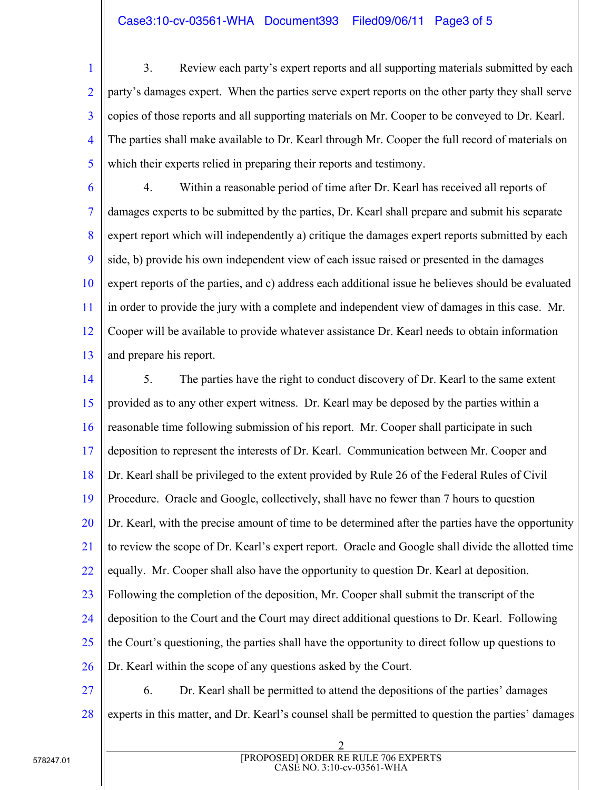## Case3:10-cv-03561-WHA Document393 Filed09/06/11 Page3 of 5

1 2 3 4 5 3. Review each party's expert reports and all supporting materials submitted by each party's damages expert. When the parties serve expert reports on the other party they shall serve copies of those reports and all supporting materials on Mr. Cooper to be conveyed to Dr. Kearl. The parties shall make available to Dr. Kearl through Mr. Cooper the full record of materials on which their experts relied in preparing their reports and testimony.

6 7 8 9 10 11 12 13 4. Within a reasonable period of time after Dr. Kearl has received all reports of damages experts to be submitted by the parties, Dr. Kearl shall prepare and submit his separate expert report which will independently a) critique the damages expert reports submitted by each side, b) provide his own independent view of each issue raised or presented in the damages expert reports of the parties, and c) address each additional issue he believes should be evaluated in order to provide the jury with a complete and independent view of damages in this case. Mr. Cooper will be available to provide whatever assistance Dr. Kearl needs to obtain information and prepare his report.

14 15 16 17 18 19 20 21 22 23 24 25 26 5. The parties have the right to conduct discovery of Dr. Kearl to the same extent provided as to any other expert witness. Dr. Kearl may be deposed by the parties within a reasonable time following submission of his report. Mr. Cooper shall participate in such deposition to represent the interests of Dr. Kearl. Communication between Mr. Cooper and Dr. Kearl shall be privileged to the extent provided by Rule 26 of the Federal Rules of Civil Procedure. Oracle and Google, collectively, shall have no fewer than 7 hours to question Dr. Kearl, with the precise amount of time to be determined after the parties have the opportunity to review the scope of Dr. Kearl's expert report. Oracle and Google shall divide the allotted time equally. Mr. Cooper shall also have the opportunity to question Dr. Kearl at deposition. Following the completion of the deposition, Mr. Cooper shall submit the transcript of the deposition to the Court and the Court may direct additional questions to Dr. Kearl. Following the Court's questioning, the parties shall have the opportunity to direct follow up questions to Dr. Kearl within the scope of any questions asked by the Court.

27 28 6. Dr. Kearl shall be permitted to attend the depositions of the parties' damages experts in this matter, and Dr. Kearl's counsel shall be permitted to question the parties' damages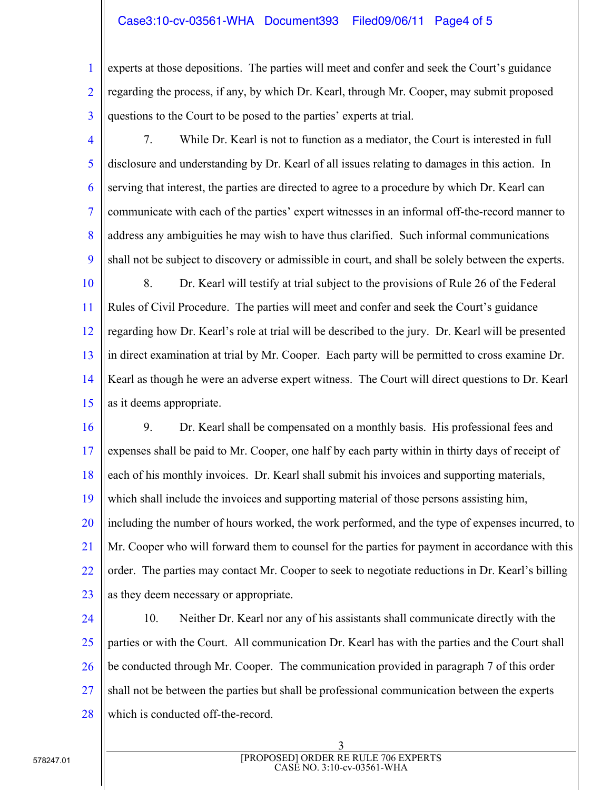## Case3:10-cv-03561-WHA Document393 Filed09/06/11 Page4 of 5

1 2 3 experts at those depositions. The parties will meet and confer and seek the Court's guidance regarding the process, if any, by which Dr. Kearl, through Mr. Cooper, may submit proposed questions to the Court to be posed to the parties' experts at trial.

4

5 6 7 8 9 7. While Dr. Kearl is not to function as a mediator, the Court is interested in full disclosure and understanding by Dr. Kearl of all issues relating to damages in this action. In serving that interest, the parties are directed to agree to a procedure by which Dr. Kearl can communicate with each of the parties' expert witnesses in an informal off-the-record manner to address any ambiguities he may wish to have thus clarified. Such informal communications shall not be subject to discovery or admissible in court, and shall be solely between the experts.

10 11 12 13 14 15 8. Dr. Kearl will testify at trial subject to the provisions of Rule 26 of the Federal Rules of Civil Procedure. The parties will meet and confer and seek the Court's guidance regarding how Dr. Kearl's role at trial will be described to the jury. Dr. Kearl will be presented in direct examination at trial by Mr. Cooper. Each party will be permitted to cross examine Dr. Kearl as though he were an adverse expert witness. The Court will direct questions to Dr. Kearl as it deems appropriate.

16 17 18 19 20 21 22 23 9. Dr. Kearl shall be compensated on a monthly basis. His professional fees and expenses shall be paid to Mr. Cooper, one half by each party within in thirty days of receipt of each of his monthly invoices. Dr. Kearl shall submit his invoices and supporting materials, which shall include the invoices and supporting material of those persons assisting him, including the number of hours worked, the work performed, and the type of expenses incurred, to Mr. Cooper who will forward them to counsel for the parties for payment in accordance with this order. The parties may contact Mr. Cooper to seek to negotiate reductions in Dr. Kearl's billing as they deem necessary or appropriate.

24

25 26 27 28 10. Neither Dr. Kearl nor any of his assistants shall communicate directly with the parties or with the Court. All communication Dr. Kearl has with the parties and the Court shall be conducted through Mr. Cooper. The communication provided in paragraph 7 of this order shall not be between the parties but shall be professional communication between the experts which is conducted off-the-record.